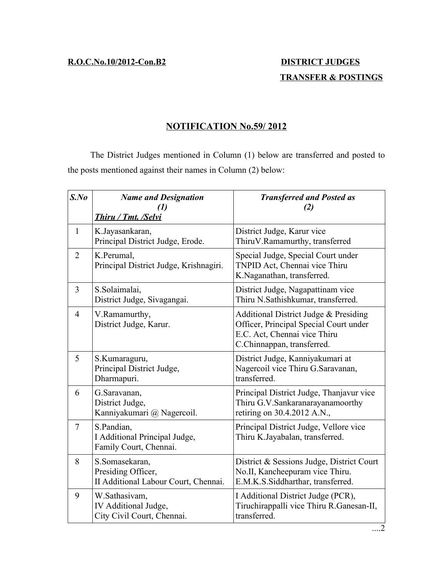## **TRANSFER & POSTINGS**

## **NOTIFICATION No.59/ 2012**

The District Judges mentioned in Column (1) below are transferred and posted to the posts mentioned against their names in Column (2) below:

| $S$ .No        | <b>Name and Designation</b><br>$\boldsymbol{\mathcal{d}}$<br>Thiru / Tmt. /Selvi | <b>Transferred and Posted as</b><br>'2)                                                                                                       |
|----------------|----------------------------------------------------------------------------------|-----------------------------------------------------------------------------------------------------------------------------------------------|
| $\mathbf{1}$   | K.Jayasankaran,<br>Principal District Judge, Erode.                              | District Judge, Karur vice<br>ThiruV.Ramamurthy, transferred                                                                                  |
| $\overline{2}$ | K.Perumal,<br>Principal District Judge, Krishnagiri.                             | Special Judge, Special Court under<br>TNPID Act, Chennai vice Thiru<br>K.Naganathan, transferred.                                             |
| 3              | S.Solaimalai,<br>District Judge, Sivagangai.                                     | District Judge, Nagapattinam vice<br>Thiru N.Sathishkumar, transferred.                                                                       |
| $\overline{4}$ | V.Ramamurthy,<br>District Judge, Karur.                                          | Additional District Judge & Presiding<br>Officer, Principal Special Court under<br>E.C. Act, Chennai vice Thiru<br>C.Chinnappan, transferred. |
| 5              | S.Kumaraguru,<br>Principal District Judge,<br>Dharmapuri.                        | District Judge, Kanniyakumari at<br>Nagercoil vice Thiru G. Saravanan,<br>transferred.                                                        |
| 6              | G.Saravanan,<br>District Judge,<br>Kanniyakumari @ Nagercoil.                    | Principal District Judge, Thanjavur vice<br>Thiru G.V.Sankaranarayanamoorthy<br>retiring on 30.4.2012 A.N.,                                   |
| $\tau$         | S.Pandian,<br>I Additional Principal Judge,<br>Family Court, Chennai.            | Principal District Judge, Vellore vice<br>Thiru K.Jayabalan, transferred.                                                                     |
| 8              | S.Somasekaran,<br>Presiding Officer,<br>II Additional Labour Court, Chennai.     | District & Sessions Judge, District Court<br>No.II, Kancheepuram vice Thiru.<br>E.M.K.S.Siddharthar, transferred.                             |
| 9              | W.Sathasivam,<br>IV Additional Judge,<br>City Civil Court, Chennai.              | I Additional District Judge (PCR),<br>Tiruchirappalli vice Thiru R.Ganesan-II,<br>transferred.                                                |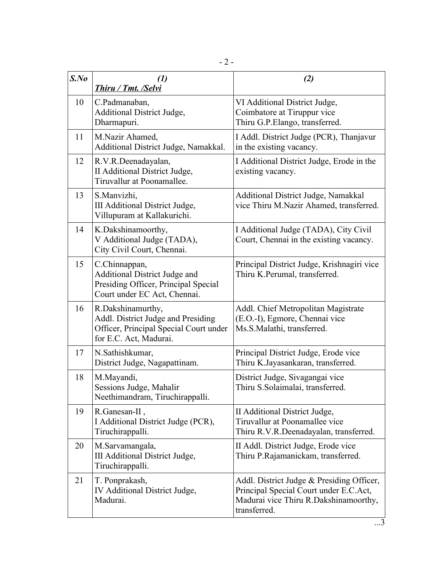| $S$ .No | $\left( l\right)$<br>Thiru / Tmt. /Selvi                                                                                    | (2)                                                                                                                                          |
|---------|-----------------------------------------------------------------------------------------------------------------------------|----------------------------------------------------------------------------------------------------------------------------------------------|
| 10      | C.Padmanaban,<br><b>Additional District Judge,</b><br>Dharmapuri.                                                           | VI Additional District Judge,<br>Coimbatore at Tiruppur vice<br>Thiru G.P.Elango, transferred.                                               |
| 11      | M.Nazir Ahamed,<br>Additional District Judge, Namakkal.                                                                     | I Addl. District Judge (PCR), Thanjavur<br>in the existing vacancy.                                                                          |
| 12      | R.V.R.Deenadayalan,<br>II Additional District Judge,<br>Tiruvallur at Poonamallee.                                          | I Additional District Judge, Erode in the<br>existing vacancy.                                                                               |
| 13      | S.Manvizhi,<br>III Additional District Judge,<br>Villupuram at Kallakurichi.                                                | Additional District Judge, Namakkal<br>vice Thiru M.Nazir Ahamed, transferred.                                                               |
| 14      | K.Dakshinamoorthy,<br>V Additional Judge (TADA),<br>City Civil Court, Chennai.                                              | I Additional Judge (TADA), City Civil<br>Court, Chennai in the existing vacancy.                                                             |
| 15      | C.Chinnappan,<br>Additional District Judge and<br>Presiding Officer, Principal Special<br>Court under EC Act, Chennai.      | Principal District Judge, Krishnagiri vice<br>Thiru K.Perumal, transferred.                                                                  |
| 16      | R.Dakshinamurthy,<br>Addl. District Judge and Presiding<br>Officer, Principal Special Court under<br>for E.C. Act, Madurai. | Addl. Chief Metropolitan Magistrate<br>(E.O.-I), Egmore, Chennai vice<br>Ms.S.Malathi, transferred.                                          |
| 17      | N.Sathishkumar,<br>District Judge, Nagapattinam.                                                                            | Principal District Judge, Erode vice<br>Thiru K.Jayasankaran, transferred.                                                                   |
| 18      | M.Mayandi,<br>Sessions Judge, Mahalir<br>Neethimandram, Tiruchirappalli.                                                    | District Judge, Sivagangai vice<br>Thiru S.Solaimalai, transferred.                                                                          |
| 19      | R.Ganesan-II,<br>I Additional District Judge (PCR),<br>Tiruchirappalli.                                                     | II Additional District Judge,<br>Tiruvallur at Poonamallee vice<br>Thiru R.V.R.Deenadayalan, transferred.                                    |
| 20      | M.Sarvamangala,<br>III Additional District Judge,<br>Tiruchirappalli.                                                       | II Addl. District Judge, Erode vice<br>Thiru P.Rajamanickam, transferred.                                                                    |
| 21      | T. Ponprakash,<br>IV Additional District Judge,<br>Madurai.                                                                 | Addl. District Judge & Presiding Officer,<br>Principal Special Court under E.C.Act,<br>Madurai vice Thiru R.Dakshinamoorthy,<br>transferred. |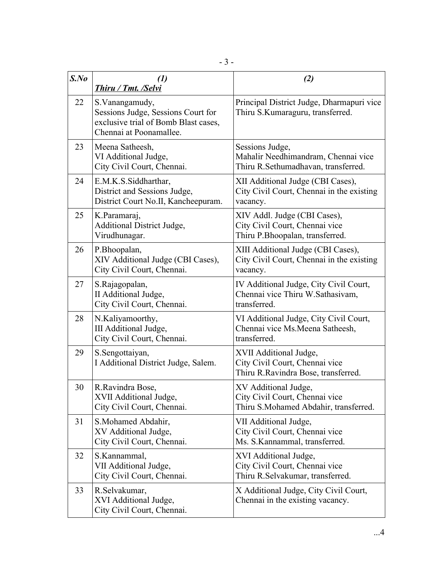| $S$ .No | $\left( l\right)$                                                                                                        | (2)                                                                                               |
|---------|--------------------------------------------------------------------------------------------------------------------------|---------------------------------------------------------------------------------------------------|
|         | <b>Thiru / Tmt. /Selvi</b>                                                                                               |                                                                                                   |
| 22      | S. Vanangamudy,<br>Sessions Judge, Sessions Court for<br>exclusive trial of Bomb Blast cases,<br>Chennai at Poonamallee. | Principal District Judge, Dharmapuri vice<br>Thiru S.Kumaraguru, transferred.                     |
| 23      | Meena Satheesh,<br>VI Additional Judge,<br>City Civil Court, Chennai.                                                    | Sessions Judge,<br>Mahalir Needhimandram, Chennai vice<br>Thiru R.Sethumadhavan, transferred.     |
| 24      | E.M.K.S.Siddharthar,<br>District and Sessions Judge,<br>District Court No.II, Kancheepuram.                              | XII Additional Judge (CBI Cases),<br>City Civil Court, Chennai in the existing<br>vacancy.        |
| 25      | K.Paramaraj,<br><b>Additional District Judge,</b><br>Virudhunagar.                                                       | XIV Addl. Judge (CBI Cases),<br>City Civil Court, Chennai vice<br>Thiru P.Bhoopalan, transferred. |
| 26      | P.Bhoopalan,<br>XIV Additional Judge (CBI Cases),<br>City Civil Court, Chennai.                                          | XIII Additional Judge (CBI Cases),<br>City Civil Court, Chennai in the existing<br>vacancy.       |
| 27      | S.Rajagopalan,<br>II Additional Judge,<br>City Civil Court, Chennai.                                                     | IV Additional Judge, City Civil Court,<br>Chennai vice Thiru W.Sathasivam,<br>transferred.        |
| 28      | N.Kaliyamoorthy,<br>III Additional Judge,<br>City Civil Court, Chennai.                                                  | VI Additional Judge, City Civil Court,<br>Chennai vice Ms. Meena Satheesh,<br>transferred.        |
| 29      | S.Sengottaiyan,<br>I Additional District Judge, Salem.                                                                   | XVII Additional Judge,<br>City Civil Court, Chennai vice<br>Thiru R.Ravindra Bose, transferred.   |
| 30      | R.Ravindra Bose,<br>XVII Additional Judge,<br>City Civil Court, Chennai.                                                 | XV Additional Judge,<br>City Civil Court, Chennai vice<br>Thiru S.Mohamed Abdahir, transferred.   |
| 31      | S.Mohamed Abdahir,<br>XV Additional Judge,<br>City Civil Court, Chennai.                                                 | VII Additional Judge,<br>City Civil Court, Chennai vice<br>Ms. S.Kannammal, transferred.          |
| 32      | S.Kannammal,<br>VII Additional Judge,<br>City Civil Court, Chennai.                                                      | XVI Additional Judge,<br>City Civil Court, Chennai vice<br>Thiru R.Selvakumar, transferred.       |
| 33      | R.Selvakumar,<br>XVI Additional Judge,<br>City Civil Court, Chennai.                                                     | X Additional Judge, City Civil Court,<br>Chennai in the existing vacancy.                         |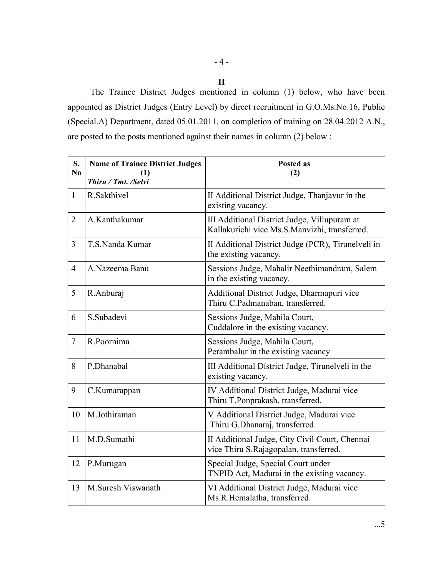## - 4 -

**II**

The Trainee District Judges mentioned in column (1) below, who have been appointed as District Judges (Entry Level) by direct recruitment in G.O.Ms.No.16, Public (Special.A) Department, dated 05.01.2011, on completion of training on 28.04.2012 A.N., are posted to the posts mentioned against their names in column (2) below :

| S.<br>N <sub>0</sub> | <b>Name of Trainee District Judges</b><br>(1)<br>Thiru / Tmt. /Selvi | <b>Posted as</b><br>(2)                                                                       |
|----------------------|----------------------------------------------------------------------|-----------------------------------------------------------------------------------------------|
| $\mathbf{1}$         | R.Sakthivel                                                          | II Additional District Judge, Thanjavur in the<br>existing vacancy.                           |
| $\overline{2}$       | A.Kanthakumar                                                        | III Additional District Judge, Villupuram at<br>Kallakurichi vice Ms.S.Manvizhi, transferred. |
| $\overline{3}$       | T.S.Nanda Kumar                                                      | II Additional District Judge (PCR), Tirunelveli in<br>the existing vacancy.                   |
| $\overline{4}$       | A.Nazeema Banu                                                       | Sessions Judge, Mahalir Neethimandram, Salem<br>in the existing vacancy.                      |
| 5                    | R.Anburaj                                                            | Additional District Judge, Dharmapuri vice<br>Thiru C.Padmanaban, transferred.                |
| 6                    | S.Subadevi                                                           | Sessions Judge, Mahila Court,<br>Cuddalore in the existing vacancy.                           |
| $\overline{7}$       | R.Poornima                                                           | Sessions Judge, Mahila Court,<br>Perambalur in the existing vacancy                           |
| 8                    | P.Dhanabal                                                           | III Additional District Judge, Tirunelveli in the<br>existing vacancy.                        |
| 9                    | C.Kumarappan                                                         | IV Additional District Judge, Madurai vice<br>Thiru T.Ponprakash, transferred.                |
| 10                   | M.Jothiraman                                                         | V Additional District Judge, Madurai vice<br>Thiru G.Dhanaraj, transferred.                   |
| 11                   | M.D.Sumathi                                                          | II Additional Judge, City Civil Court, Chennai<br>vice Thiru S.Rajagopalan, transferred.      |
| 12                   | P.Murugan                                                            | Special Judge, Special Court under<br>TNPID Act, Madurai in the existing vacancy.             |
| 13                   | M.Suresh Viswanath                                                   | VI Additional District Judge, Madurai vice<br>Ms.R.Hemalatha, transferred.                    |